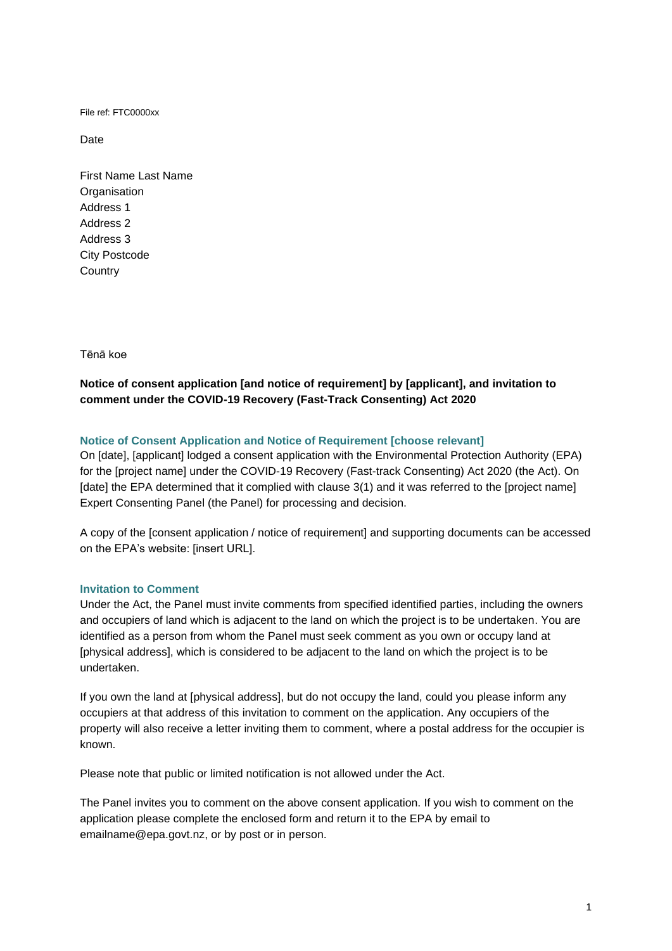File ref: FTC0000xx

Date

First Name Last Name **Organisation** Address 1 Address 2 Address 3 City Postcode **Country** 

Tēnā koe

# **Notice of consent application [and notice of requirement] by [applicant], and invitation to comment under the COVID-19 Recovery (Fast-Track Consenting) Act 2020**

# **Notice of Consent Application and Notice of Requirement [choose relevant]**

On [date], [applicant] lodged a consent application with the Environmental Protection Authority (EPA) for the [project name] under the COVID-19 Recovery (Fast-track Consenting) Act 2020 (the Act). On [date] the EPA determined that it complied with clause 3(1) and it was referred to the [project name] Expert Consenting Panel (the Panel) for processing and decision.

A copy of the [consent application / notice of requirement] and supporting documents can be accessed on the EPA's website: [insert URL].

# **Invitation to Comment**

Under the Act, the Panel must invite comments from specified identified parties, including the owners and occupiers of land which is adjacent to the land on which the project is to be undertaken. You are identified as a person from whom the Panel must seek comment as you own or occupy land at [physical address], which is considered to be adjacent to the land on which the project is to be undertaken.

If you own the land at [physical address], but do not occupy the land, could you please inform any occupiers at that address of this invitation to comment on the application. Any occupiers of the property will also receive a letter inviting them to comment, where a postal address for the occupier is known.

Please note that public or limited notification is not allowed under the Act.

The Panel invites you to comment on the above consent application. If you wish to comment on the application please complete the enclosed form and return it to the EPA by email to emailname@epa.govt.nz, or by post or in person.